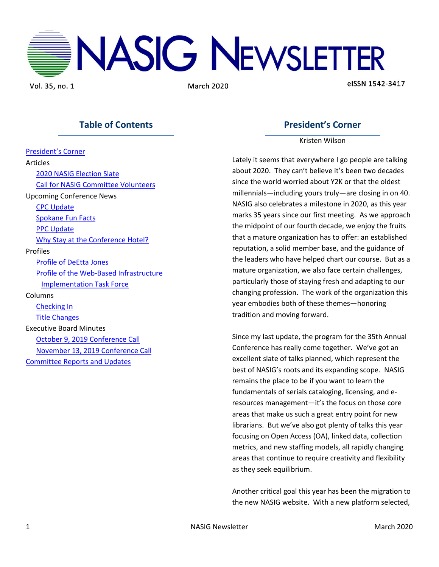

Vol. 35, no. 1

**March 2020** 

elSSN 1542-3417

# **Table of Contents**

[President's Corner](#page-0-0) Articles [2020 NASIG Election Slate](#page-1-0) [Call for NASIG Committee Volunteers](#page-1-1) Upcoming Conference News [CPC Update](#page-3-0) [Spokane Fun Facts](#page-3-1) [PPC Update](#page-3-2) [Why Stay at the Conference Hotel?](#page-6-0) Profiles [Profile of DeEtta Jones](#page-7-0) [Profile of the Web-Based Infrastructure](#page-9-0)  [Implementation Task Force](#page-9-0) Columns [Checking In](#page-10-0) [Title Changes](#page-10-1) Executive Board Minutes [October 9, 2019 Conference Call](#page-11-0) [November 13, 2019 Conference Call](#page-13-0) [Committee Reports and Updates](#page-14-0)

# **President's Corner**

Kristen Wilson

<span id="page-0-0"></span>Lately it seems that everywhere I go people are talking about 2020. They can't believe it's been two decades since the world worried about Y2K or that the oldest millennials—including yours truly—are closing in on 40. NASIG also celebrates a milestone in 2020, as this year marks 35 years since our first meeting. As we approach the midpoint of our fourth decade, we enjoy the fruits that a mature organization has to offer: an established reputation, a solid member base, and the guidance of the leaders who have helped chart our course. But as a mature organization, we also face certain challenges, particularly those of staying fresh and adapting to our changing profession. The work of the organization this year embodies both of these themes—honoring tradition and moving forward.

Since my last update, the program for the 35th Annual Conference has really come together. We've got an excellent slate of talks planned, which represent the best of NASIG's roots and its expanding scope. NASIG remains the place to be if you want to learn the fundamentals of serials cataloging, licensing, and eresources management—it's the focus on those core areas that make us such a great entry point for new librarians. But we've also got plenty of talks this year focusing on Open Access (OA), linked data, collection metrics, and new staffing models, all rapidly changing areas that continue to require creativity and flexibility as they seek equilibrium.

Another critical goal this year has been the migration to the new NASIG website. With a new platform selected,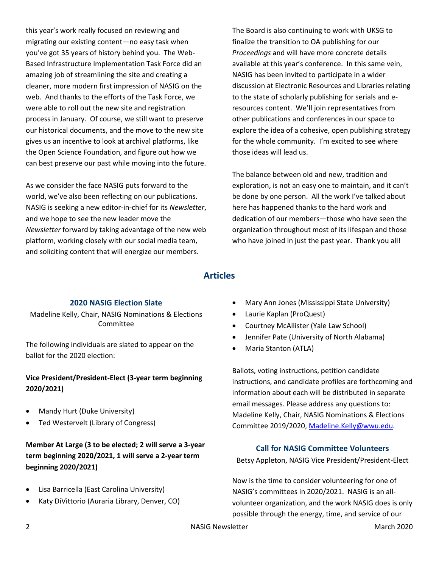this year's work really focused on reviewing and migrating our existing content—no easy task when you've got 35 years of history behind you. The Web-Based Infrastructure Implementation Task Force did an amazing job of streamlining the site and creating a cleaner, more modern first impression of NASIG on the web. And thanks to the efforts of the Task Force, we were able to roll out the new site and registration process in January. Of course, we still want to preserve our historical documents, and the move to the new site gives us an incentive to look at archival platforms, like the Open Science Foundation, and figure out how we can best preserve our past while moving into the future.

As we consider the face NASIG puts forward to the world, we've also been reflecting on our publications. NASIG is seeking a new editor-in-chief for its *Newsletter*, and we hope to see the new leader move the *Newsletter* forward by taking advantage of the new web platform, working closely with our social media team, and soliciting content that will energize our members.

The Board is also continuing to work with UKSG to finalize the transition to OA publishing for our *Proceedings* and will have more concrete details available at this year's conference. In this same vein, NASIG has been invited to participate in a wider discussion at Electronic Resources and Libraries relating to the state of scholarly publishing for serials and eresources content. We'll join representatives from other publications and conferences in our space to explore the idea of a cohesive, open publishing strategy for the whole community. I'm excited to see where those ideas will lead us.

The balance between old and new, tradition and exploration, is not an easy one to maintain, and it can't be done by one person. All the work I've talked about here has happened thanks to the hard work and dedication of our members—those who have seen the organization throughout most of its lifespan and those who have joined in just the past year. Thank you all!

# **Articles**

# **2020 NASIG Election Slate**

<span id="page-1-0"></span>Madeline Kelly, Chair, NASIG Nominations & Elections Committee

The following individuals are slated to appear on the ballot for the 2020 election:

# **Vice President/President-Elect (3-year term beginning 2020/2021)**

- Mandy Hurt (Duke University)
- Ted Westervelt (Library of Congress)

**Member At Large (3 to be elected; 2 will serve a 3-year term beginning 2020/2021, 1 will serve a 2-year term beginning 2020/2021)**

- Lisa Barricella (East Carolina University)
- Katy DiVittorio (Auraria Library, Denver, CO)
- Mary Ann Jones (Mississippi State University)
- Laurie Kaplan (ProQuest)
- Courtney McAllister (Yale Law School)
- Jennifer Pate (University of North Alabama)
- Maria Stanton (ATLA)

Ballots, voting instructions, petition candidate instructions, and candidate profiles are forthcoming and information about each will be distributed in separate email messages. Please address any questions to: Madeline Kelly, Chair, NASIG Nominations & Elections Committee 2019/2020[, Madeline.Kelly@wwu.edu.](mailto:Madeline.Kelly@wwu.edu)

# **Call for NASIG Committee Volunteers**

<span id="page-1-1"></span>Betsy Appleton, NASIG Vice President/President-Elect

Now is the time to consider volunteering for one of NASIG's committees in 2020/2021. NASIG is an allvolunteer organization, and the work NASIG does is only possible through the energy, time, and service of our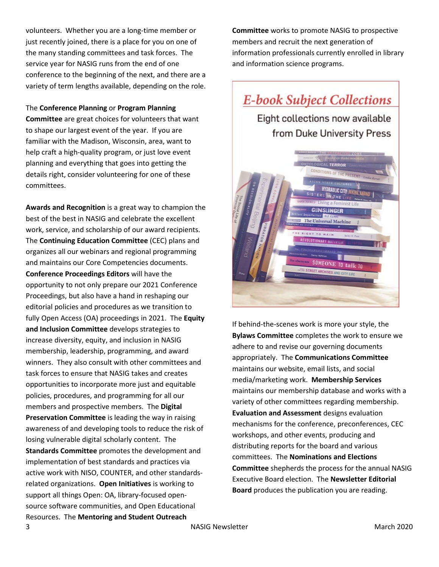volunteers. Whether you are a long-time member or just recently joined, there is a place for you on one of the many standing committees and task forces. The service year for NASIG runs from the end of one conference to the beginning of the next, and there are a variety of term lengths available, depending on the role.

The **Conference Planning** or **Program Planning Committee** are great choices for volunteers that want to shape our largest event of the year. If you are familiar with the Madison, Wisconsin, area, want to help craft a high-quality program, or just love event planning and everything that goes into getting the details right, consider volunteering for one of these committees.

3 NASIG Newsletter March 2020 NASIG Newsletter March 2020 **Awards and Recognition** is a great way to champion the best of the best in NASIG and celebrate the excellent work, service, and scholarship of our award recipients. The **Continuing Education Committee** (CEC) plans and organizes all our webinars and regional programming and maintains our Core Competencies documents. **Conference Proceedings Editors** will have the opportunity to not only prepare our 2021 Conference Proceedings, but also have a hand in reshaping our editorial policies and procedures as we transition to fully Open Access (OA) proceedings in 2021. The **Equity and Inclusion Committee** develops strategies to increase diversity, equity, and inclusion in NASIG membership, leadership, programming, and award winners. They also consult with other committees and task forces to ensure that NASIG takes and creates opportunities to incorporate more just and equitable policies, procedures, and programming for all our members and prospective members. The **Digital Preservation Committee** is leading the way in raising awareness of and developing tools to reduce the risk of losing vulnerable digital scholarly content. The **Standards Committee** promotes the development and implementation of best standards and practices via active work with NISO, COUNTER, and other standardsrelated organizations. **Open Initiatives** is working to support all things Open: OA, library-focused opensource software communities, and Open Educational Resources. The **Mentoring and Student Outreach** 

**Committee** works to promote NASIG to prospective members and recruit the next generation of information professionals currently enrolled in library and information science programs.

# **E-book Subject Collections** Eight collections now available from Duke University Press **The Univers** al Machine

If behind-the-scenes work is more your style, the **Bylaws Committee** completes the work to ensure we adhere to and revise our governing documents appropriately. The **Communications Committee**  maintains our website, email lists, and social media/marketing work. **Membership Services**  maintains our membership database and works with a variety of other committees regarding membership. **Evaluation and Assessment** designs evaluation mechanisms for the conference, preconferences, CEC workshops, and other events, producing and distributing reports for the board and various committees. The **Nominations and Elections Committee** shepherds the process for the annual NASIG Executive Board election. The **Newsletter Editorial Board** produces the publication you are reading.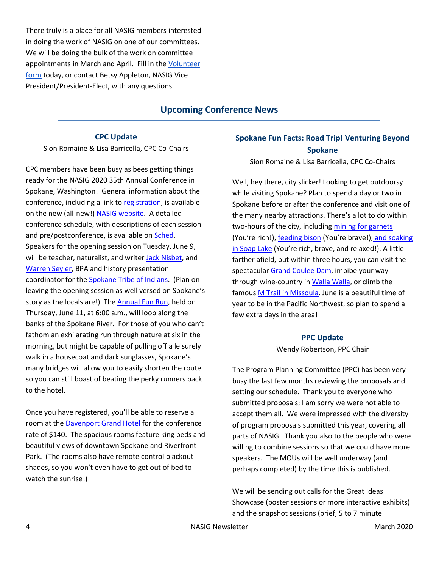There truly is a place for all NASIG members interested in doing the work of NASIG on one of our committees. We will be doing the bulk of the work on committee appointments in March and April. Fill in the [Volunteer](https://nasig.org/Committee-Volunteer)  [form](https://nasig.org/Committee-Volunteer) today, or contact Betsy Appleton, NASIG Vice President/President-Elect, with any questions.

# **Upcoming Conference News**

#### **CPC Update**

<span id="page-3-0"></span>Sion Romaine & Lisa Barricella, CPC Co-Chairs

CPC members have been busy as bees getting things ready for the NASIG 2020 35th Annual Conference in Spokane, Washington! General information about the conference, including a link to [registration,](https://www.nasig.org/event-3568014) is available on the new (all-new!) [NASIG website.](https://www.nasig.org/35th-Annual-Conference) A detailed conference schedule, with descriptions of each session and pre/postconference, is available on [Sched.](https://nasig2020.sched.com/) Speakers for the opening session on Tuesday, June 9, will be teacher, naturalist, and writer [Jack Nisbet,](http://www.jacknisbet.com/) and [Warren Seyler,](https://www.linkedin.com/in/warren-seyler-a0a13248) BPA and history presentation coordinator for the [Spokane Tribe of Indians.](https://www.spokanetribe.com/) (Plan on leaving the opening session as well versed on Spokane's story as the locals are!) The [Annual Fun Run,](https://www.nasig.org/2020-NASIG-Fun-Run) held on Thursday, June 11, at 6:00 a.m., will loop along the banks of the Spokane River. For those of you who can't fathom an exhilarating run through nature at six in the morning, but might be capable of pulling off a leisurely walk in a housecoat and dark sunglasses, Spokane's many bridges will allow you to easily shorten the route so you can still boast of beating the perky runners back to the hotel.

Once you have registered, you'll be able to reserve a room at th[e Davenport Grand Hotel](https://www.davenporthotelcollection.com/our-hotels/the-davenport-grand/) for the conference rate of \$140. The spacious rooms feature king beds and beautiful views of downtown Spokane and Riverfront Park. (The rooms also have remote control blackout shades, so you won't even have to get out of bed to watch the sunrise!)

# <span id="page-3-1"></span>**Spokane Fun Facts: Road Trip! Venturing Beyond Spokane**

Sion Romaine & Lisa Barricella, CPC Co-Chairs

Well, hey there, city slicker! Looking to get outdoorsy while visiting Spokane? Plan to spend a day or two in Spokane before or after the conference and visit one of the many nearby attractions. There's a lot to do within two-hours of the city, including [mining for garnets](https://www.spokesman.com/stories/2018/jul/05/day-trippers-seven-sites-to-explore-within-two-hou/) (You're rich!), [feeding bison](https://www.spokesman.com/stories/2018/jul/05/day-trippers-seven-sites-to-explore-within-two-hou/) (You're brave!), [and soaking](https://www.spokesman.com/stories/2018/jul/05/day-trippers-seven-sites-to-explore-within-two-hou/)  [in Soap Lake](https://www.spokesman.com/stories/2018/jul/05/day-trippers-seven-sites-to-explore-within-two-hou/) (You're rich, brave, and relaxed!). A little farther afield, but within three hours, you can visit the spectacula[r Grand Coulee Dam,](https://www.usbr.gov/pn/grandcoulee/visit/) imbibe your way through wine-country in [Walla Walla,](https://www.wallawalla.org/things-to-do/) or climb the famous [M Trail in Missoula.](https://destinationmissoula.org/blog/day-hike-everyone) June is a beautiful time of year to be in the Pacific Northwest, so plan to spend a few extra days in the area!

#### **PPC Update**

Wendy Robertson, PPC Chair

<span id="page-3-2"></span>The Program Planning Committee (PPC) has been very busy the last few months reviewing the proposals and setting our schedule. Thank you to everyone who submitted proposals; I am sorry we were not able to accept them all. We were impressed with the diversity of program proposals submitted this year, covering all parts of NASIG. Thank you also to the people who were willing to combine sessions so that we could have more speakers. The MOUs will be well underway (and perhaps completed) by the time this is published.

We will be sending out calls for the Great Ideas Showcase (poster sessions or more interactive exhibits) and the snapshot sessions (brief, 5 to 7 minute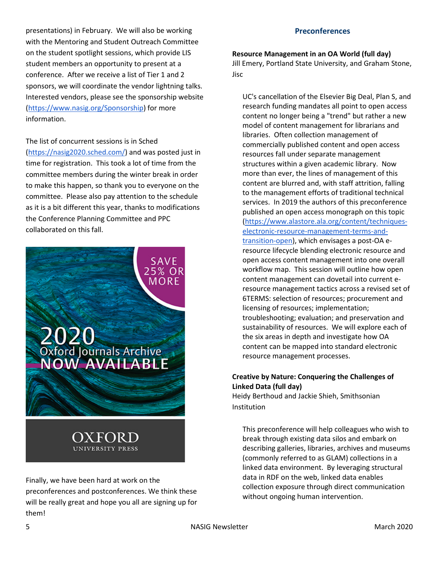presentations) in February. We will also be working with the Mentoring and Student Outreach Committee on the student spotlight sessions, which provide LIS student members an opportunity to present at a conference. After we receive a list of Tier 1 and 2 sponsors, we will coordinate the vendor lightning talks. Interested vendors, please see the sponsorship website [\(https://www.nasig.org/Sponsorship\)](https://www.nasig.org/Sponsorship) for more information.

The list of concurrent sessions is in Sched [\(https://nasig2020.sched.com/\)](https://nasig2020.sched.com/) and was posted just in time for registration. This took a lot of time from the committee members during the winter break in order to make this happen, so thank you to everyone on the committee. Please also pay attention to the schedule as it is a bit different this year, thanks to modifications the Conference Planning Committee and PPC collaborated on this fall.



Finally, we have been hard at work on the preconferences and postconferences. We think these will be really great and hope you all are signing up for them!

#### **Preconferences**

**Resource Management in an OA World (full day)** Jill Emery, Portland State University, and Graham Stone, Jisc

UC's cancellation of the Elsevier Big Deal, Plan S, and research funding mandates all point to open access content no longer being a "trend" but rather a new model of content management for librarians and libraries. Often collection management of commercially published content and open access resources fall under separate management structures within a given academic library. Now more than ever, the lines of management of this content are blurred and, with staff attrition, falling to the management efforts of traditional technical services. In 2019 the authors of this preconference published an open access monograph on this topic [\(https://www.alastore.ala.org/content/techniques](https://www.alastore.ala.org/content/techniques-electronic-resource-management-terms-and-transition-open)[electronic-resource-management-terms-and](https://www.alastore.ala.org/content/techniques-electronic-resource-management-terms-and-transition-open)[transition-open\)](https://www.alastore.ala.org/content/techniques-electronic-resource-management-terms-and-transition-open), which envisages a post-OA eresource lifecycle blending electronic resource and open access content management into one overall workflow map. This session will outline how open content management can dovetail into current eresource management tactics across a revised set of 6TERMS: selection of resources; procurement and licensing of resources; implementation; troubleshooting; evaluation; and preservation and sustainability of resources. We will explore each of the six areas in depth and investigate how OA content can be mapped into standard electronic resource management processes.

## **Creative by Nature: Conquering the Challenges of Linked Data (full day)**

Heidy Berthoud and Jackie Shieh, Smithsonian Institution

This preconference will help colleagues who wish to break through existing data silos and embark on describing galleries, libraries, archives and museums (commonly referred to as GLAM) collections in a linked data environment. By leveraging structural data in RDF on the web, linked data enables collection exposure through direct communication without ongoing human intervention.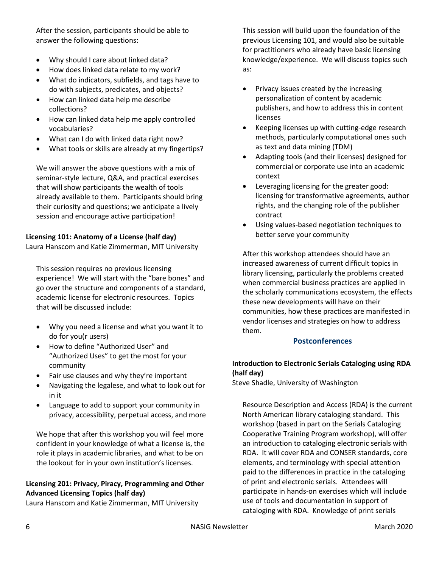After the session, participants should be able to answer the following questions:

- Why should I care about linked data?
- How does linked data relate to my work?
- What do indicators, subfields, and tags have to do with subjects, predicates, and objects?
- How can linked data help me describe collections?
- How can linked data help me apply controlled vocabularies?
- What can I do with linked data right now?
- What tools or skills are already at my fingertips?

We will answer the above questions with a mix of seminar-style lecture, Q&A, and practical exercises that will show participants the wealth of tools already available to them. Participants should bring their curiosity and questions; we anticipate a lively session and encourage active participation!

## **Licensing 101: Anatomy of a License (half day)**

Laura Hanscom and Katie Zimmerman, MIT University

This session requires no previous licensing experience! We will start with the "bare bones" and go over the structure and components of a standard, academic license for electronic resources. Topics that will be discussed include:

- Why you need a license and what you want it to do for you(r users)
- How to define "Authorized User" and "Authorized Uses" to get the most for your community
- Fair use clauses and why they're important
- Navigating the legalese, and what to look out for in it
- Language to add to support your community in privacy, accessibility, perpetual access, and more

We hope that after this workshop you will feel more confident in your knowledge of what a license is, the role it plays in academic libraries, and what to be on the lookout for in your own institution's licenses.

# **Licensing 201: Privacy, Piracy, Programming and Other Advanced Licensing Topics (half day)**

Laura Hanscom and Katie Zimmerman, MIT University

This session will build upon the foundation of the previous Licensing 101, and would also be suitable for practitioners who already have basic licensing knowledge/experience. We will discuss topics such as:

- Privacy issues created by the increasing personalization of content by academic publishers, and how to address this in content licenses
- Keeping licenses up with cutting-edge research methods, particularly computational ones such as text and data mining (TDM)
- Adapting tools (and their licenses) designed for commercial or corporate use into an academic context
- Leveraging licensing for the greater good: licensing for transformative agreements, author rights, and the changing role of the publisher contract
- Using values-based negotiation techniques to better serve your community

After this workshop attendees should have an increased awareness of current difficult topics in library licensing, particularly the problems created when commercial business practices are applied in the scholarly communications ecosystem, the effects these new developments will have on their communities, how these practices are manifested in vendor licenses and strategies on how to address them.

# **Postconferences**

# **Introduction to Electronic Serials Cataloging using RDA (half day)**

Steve Shadle, University of Washington

Resource Description and Access (RDA) is the current North American library cataloging standard. This workshop (based in part on the Serials Cataloging Cooperative Training Program workshop), will offer an introduction to cataloging electronic serials with RDA. It will cover RDA and CONSER standards, core elements, and terminology with special attention paid to the differences in practice in the cataloging of print and electronic serials. Attendees will participate in hands-on exercises which will include use of tools and documentation in support of cataloging with RDA. Knowledge of print serials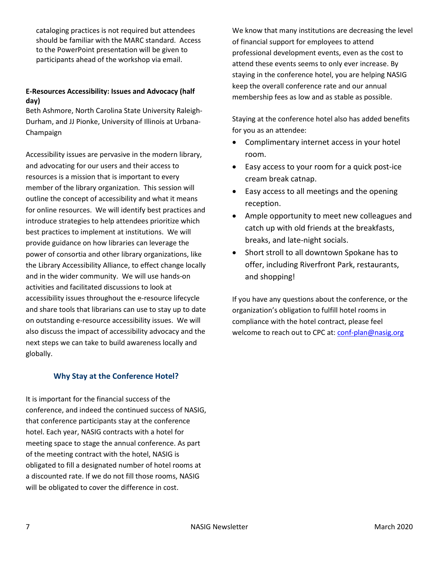cataloging practices is not required but attendees should be familiar with the MARC standard. Access to the PowerPoint presentation will be given to participants ahead of the workshop via email.

# **E-Resources Accessibility: Issues and Advocacy (half day)**

Beth Ashmore, North Carolina State University Raleigh-Durham, and JJ Pionke, University of Illinois at Urbana-Champaign

Accessibility issues are pervasive in the modern library, and advocating for our users and their access to resources is a mission that is important to every member of the library organization. This session will outline the concept of accessibility and what it means for online resources. We will identify best practices and introduce strategies to help attendees prioritize which best practices to implement at institutions. We will provide guidance on how libraries can leverage the power of consortia and other library organizations, like the Library Accessibility Alliance, to effect change locally and in the wider community. We will use hands-on activities and facilitated discussions to look at accessibility issues throughout the e-resource lifecycle and share tools that librarians can use to stay up to date on outstanding e-resource accessibility issues. We will also discuss the impact of accessibility advocacy and the next steps we can take to build awareness locally and globally.

# **Why Stay at the Conference Hotel?**

<span id="page-6-0"></span>It is important for the financial success of the conference, and indeed the continued success of NASIG, that conference participants stay at the conference hotel. Each year, NASIG contracts with a hotel for meeting space to stage the annual conference. As part of the meeting contract with the hotel, NASIG is obligated to fill a designated number of hotel rooms at a discounted rate. If we do not fill those rooms, NASIG will be obligated to cover the difference in cost.

We know that many institutions are decreasing the level of financial support for employees to attend professional development events, even as the cost to attend these events seems to only ever increase. By staying in the conference hotel, you are helping NASIG keep the overall conference rate and our annual membership fees as low and as stable as possible.

Staying at the conference hotel also has added benefits for you as an attendee:

- Complimentary internet access in your hotel room.
- Easy access to your room for a quick post-ice cream break catnap.
- Easy access to all meetings and the opening reception.
- Ample opportunity to meet new colleagues and catch up with old friends at the breakfasts, breaks, and late-night socials.
- Short stroll to all downtown Spokane has to offer, including Riverfront Park, restaurants, and shopping!

If you have any questions about the conference, or the organization's obligation to fulfill hotel rooms in compliance with the hotel contract, please feel welcome to reach out to CPC at[: conf-plan@nasig.org](mailto:conf-plan@nasig.org)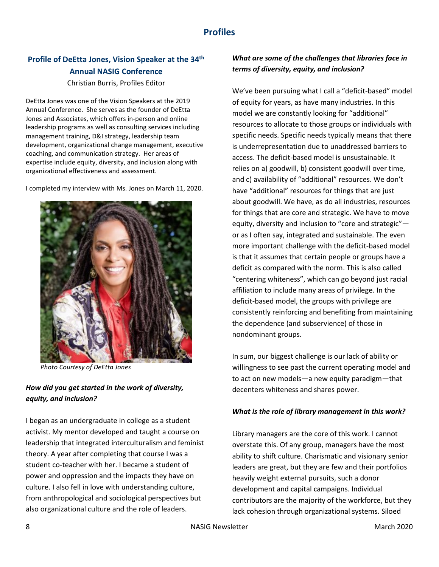# <span id="page-7-0"></span>**Profile of DeEtta Jones, Vision Speaker at the 34th Annual NASIG Conference**

## Christian Burris, Profiles Editor

DeEtta Jones was one of the Vision Speakers at the 2019 Annual Conference. She serves as the founder of DeEtta Jones and Associates, which offers in-person and online leadership programs as well as consulting services including management training, D&I strategy, leadership team development, organizational change management, executive coaching, and communication strategy. Her areas of expertise include equity, diversity, and inclusion along with organizational effectiveness and assessment.

I completed my interview with Ms. Jones on March 11, 2020.



 *Photo Courtesy of DeEtta Jones*

# *How did you get started in the work of diversity, equity, and inclusion?*

I began as an undergraduate in college as a student activist. My mentor developed and taught a course on leadership that integrated interculturalism and feminist theory. A year after completing that course I was a student co-teacher with her. I became a student of power and oppression and the impacts they have on culture. I also fell in love with understanding culture, from anthropological and sociological perspectives but also organizational culture and the role of leaders.

# *What are some of the challenges that libraries face in terms of diversity, equity, and inclusion?*

We've been pursuing what I call a "deficit-based" model of equity for years, as have many industries. In this model we are constantly looking for "additional" resources to allocate to those groups or individuals with specific needs. Specific needs typically means that there is underrepresentation due to unaddressed barriers to access. The deficit-based model is unsustainable. It relies on a) goodwill, b) consistent goodwill over time, and c) availability of "additional" resources. We don't have "additional" resources for things that are just about goodwill. We have, as do all industries, resources for things that are core and strategic. We have to move equity, diversity and inclusion to "core and strategic" or as I often say, integrated and sustainable. The even more important challenge with the deficit-based model is that it assumes that certain people or groups have a deficit as compared with the norm. This is also called "centering whiteness", which can go beyond just racial affiliation to include many areas of privilege. In the deficit-based model, the groups with privilege are consistently reinforcing and benefiting from maintaining the dependence (and subservience) of those in nondominant groups.

In sum, our biggest challenge is our lack of ability or willingness to see past the current operating model and to act on new models—a new equity paradigm—that decenters whiteness and shares power.

#### *What is the role of library management in this work?*

Library managers are the core of this work. I cannot overstate this. Of any group, managers have the most ability to shift culture. Charismatic and visionary senior leaders are great, but they are few and their portfolios heavily weight external pursuits, such a donor development and capital campaigns. Individual contributors are the majority of the workforce, but they lack cohesion through organizational systems. Siloed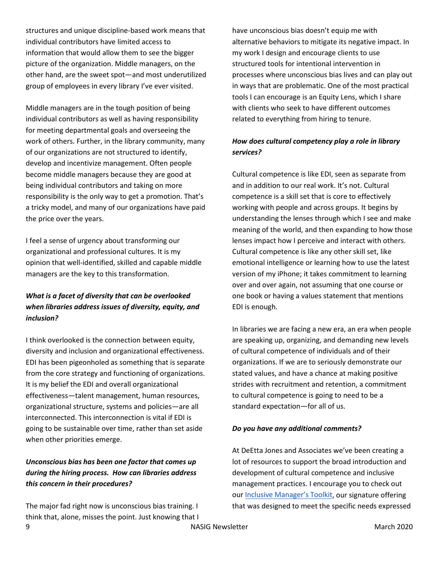structures and unique discipline-based work means that individual contributors have limited access to information that would allow them to see the bigger picture of the organization. Middle managers, on the other hand, are the sweet spot—and most underutilized group of employees in every library I've ever visited.

Middle managers are in the tough position of being individual contributors as well as having responsibility for meeting departmental goals and overseeing the work of others. Further, in the library community, many of our organizations are not structured to identify, develop and incentivize management. Often people become middle managers because they are good at being individual contributors and taking on more responsibility is the only way to get a promotion. That's a tricky model, and many of our organizations have paid the price over the years.

I feel a sense of urgency about transforming our organizational and professional cultures. It is my opinion that well-identified, skilled and capable middle managers are the key to this transformation.

# *What is a facet of diversity that can be overlooked when libraries address issues of diversity, equity, and inclusion?*

I think overlooked is the connection between equity, diversity and inclusion and organizational effectiveness. EDI has been pigeonholed as something that is separate from the core strategy and functioning of organizations. It is my belief the EDI and overall organizational effectiveness—talent management, human resources, organizational structure, systems and policies—are all interconnected. This interconnection is vital if EDI is going to be sustainable over time, rather than set aside when other priorities emerge.

# *Unconscious bias has been one factor that comes up during the hiring process. How can libraries address this concern in their procedures?*

ergy in the settlement of the NASIG Newsletter the material control of the March 2020 March 2020 The major fad right now is unconscious bias training. I think that, alone, misses the point. Just knowing that I

have unconscious bias doesn't equip me with alternative behaviors to mitigate its negative impact. In my work I design and encourage clients to use structured tools for intentional intervention in processes where unconscious bias lives and can play out in ways that are problematic. One of the most practical tools I can encourage is an Equity Lens, which I share with clients who seek to have different outcomes related to everything from hiring to tenure.

# *How does cultural competency play a role in library services?*

Cultural competence is like EDI, seen as separate from and in addition to our real work. It's not. Cultural competence is a skill set that is core to effectively working with people and across groups. It begins by understanding the lenses through which I see and make meaning of the world, and then expanding to how those lenses impact how I perceive and interact with others. Cultural competence is like any other skill set, like emotional intelligence or learning how to use the latest version of my iPhone; it takes commitment to learning over and over again, not assuming that one course or one book or having a values statement that mentions EDI is enough.

In libraries we are facing a new era, an era when people are speaking up, organizing, and demanding new levels of cultural competence of individuals and of their organizations. If we are to seriously demonstrate our stated values, and have a chance at making positive strides with recruitment and retention, a commitment to cultural competence is going to need to be a standard expectation—for all of us.

# *Do you have any additional comments?*

At DeEtta Jones and Associates we've been creating a lot of resources to support the broad introduction and development of cultural competence and inclusive management practices. I encourage you to check out our [Inclusive Manager's Toolkit,](https://www.deettajones.com/inclusive_managers_toolkit) our signature offering that was designed to meet the specific needs expressed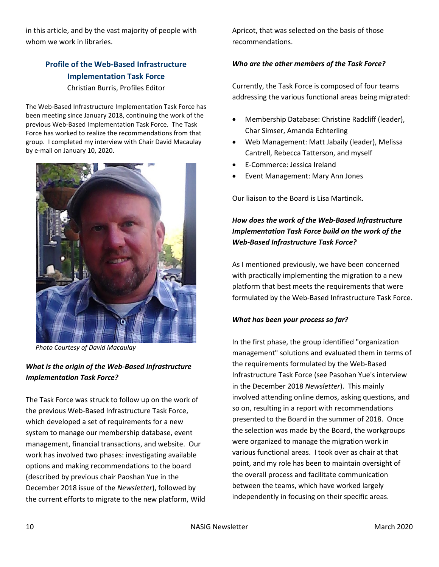in this article, and by the vast majority of people with whom we work in libraries.

# <span id="page-9-0"></span>**Profile of the Web-Based Infrastructure Implementation Task Force**

Christian Burris, Profiles Editor

The Web-Based Infrastructure Implementation Task Force has been meeting since January 2018, continuing the work of the previous Web-Based Implementation Task Force. The Task Force has worked to realize the recommendations from that group. I completed my interview with Chair David Macaulay by e-mail on January 10, 2020.



 *Photo Courtesy of David Macaulay*

# *What is the origin of the Web-Based Infrastructure Implementation Task Force?*

The Task Force was struck to follow up on the work of the previous Web-Based Infrastructure Task Force, which developed a set of requirements for a new system to manage our membership database, event management, financial transactions, and website. Our work has involved two phases: investigating available options and making recommendations to the board (described by previous chair Paoshan Yue in the December 2018 issue of the *Newsletter*), followed by the current efforts to migrate to the new platform, Wild Apricot, that was selected on the basis of those recommendations.

## *Who are the other members of the Task Force?*

Currently, the Task Force is composed of four teams addressing the various functional areas being migrated:

- Membership Database: Christine Radcliff (leader), Char Simser, Amanda Echterling
- Web Management: Matt Jabaily (leader), Melissa Cantrell, Rebecca Tatterson, and myself
- E-Commerce: Jessica Ireland
- Event Management: Mary Ann Jones

Our liaison to the Board is Lisa Martincik.

# *How does the work of the Web-Based Infrastructure Implementation Task Force build on the work of the Web-Based Infrastructure Task Force?*

As I mentioned previously, we have been concerned with practically implementing the migration to a new platform that best meets the requirements that were formulated by the Web-Based Infrastructure Task Force.

#### *What has been your process so far?*

In the first phase, the group identified "organization management" solutions and evaluated them in terms of the requirements formulated by the Web-Based Infrastructure Task Force (see Pasohan Yue's interview in the December 2018 *Newsletter*). This mainly involved attending online demos, asking questions, and so on, resulting in a report with recommendations presented to the Board in the summer of 2018. Once the selection was made by the Board, the workgroups were organized to manage the migration work in various functional areas. I took over as chair at that point, and my role has been to maintain oversight of the overall process and facilitate communication between the teams, which have worked largely independently in focusing on their specific areas.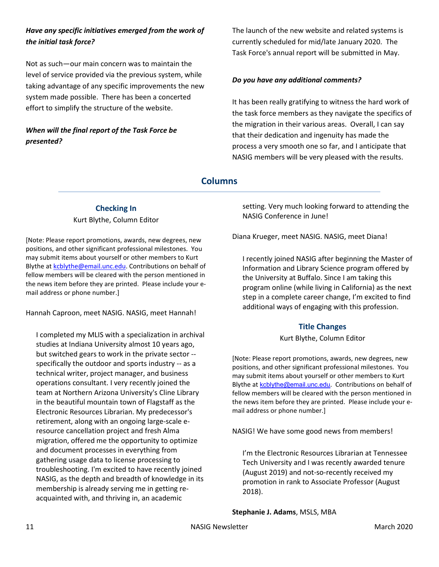# *Have any specific initiatives emerged from the work of the initial task force?*

Not as such—our main concern was to maintain the level of service provided via the previous system, while taking advantage of any specific improvements the new system made possible. There has been a concerted effort to simplify the structure of the website.

# *When will the final report of the Task Force be presented?*

The launch of the new website and related systems is currently scheduled for mid/late January 2020. The Task Force's annual report will be submitted in May.

#### *Do you have any additional comments?*

It has been really gratifying to witness the hard work of the task force members as they navigate the specifics of the migration in their various areas. Overall, I can say that their dedication and ingenuity has made the process a very smooth one so far, and I anticipate that NASIG members will be very pleased with the results.

## **Columns**

# **Checking In** Kurt Blythe, Column Editor

<span id="page-10-0"></span>[Note: Please report promotions, awards, new degrees, new positions, and other significant professional milestones. You may submit items about yourself or other members to Kurt Blythe a[t kcblythe@email.unc.edu.](mailto:kcblythe@email.unc.edu) Contributions on behalf of fellow members will be cleared with the person mentioned in the news item before they are printed. Please include your email address or phone number.]

Hannah Caproon, meet NASIG. NASIG, meet Hannah!

I completed my MLIS with a specialization in archival studies at Indiana University almost 10 years ago, but switched gears to work in the private sector - specifically the outdoor and sports industry -- as a technical writer, project manager, and business operations consultant. I very recently joined the team at Northern Arizona University's Cline Library in the beautiful mountain town of Flagstaff as the Electronic Resources Librarian. My predecessor's retirement, along with an ongoing large-scale eresource cancellation project and fresh Alma migration, offered me the opportunity to optimize and document processes in everything from gathering usage data to license processing to troubleshooting. I'm excited to have recently joined NASIG, as the depth and breadth of knowledge in its membership is already serving me in getting reacquainted with, and thriving in, an academic

setting. Very much looking forward to attending the NASIG Conference in June!

Diana Krueger, meet NASIG. NASIG, meet Diana!

I recently joined NASIG after beginning the Master of Information and Library Science program offered by the University at Buffalo. Since I am taking this program online (while living in California) as the next step in a complete career change, I'm excited to find additional ways of engaging with this profession.

#### **Title Changes**

Kurt Blythe, Column Editor

<span id="page-10-1"></span>[Note: Please report promotions, awards, new degrees, new positions, and other significant professional milestones. You may submit items about yourself or other members to Kurt Blythe at [kcblythe@email.unc.edu](mailto:kcblythe@email.unc.edu). Contributions on behalf of fellow members will be cleared with the person mentioned in the news item before they are printed. Please include your email address or phone number.]

NASIG! We have some good news from members!

I'm the Electronic Resources Librarian at Tennessee Tech University and I was recently awarded tenure (August 2019) and not-so-recently received my promotion in rank to Associate Professor (August 2018).

**Stephanie J. Adams**, MSLS, MBA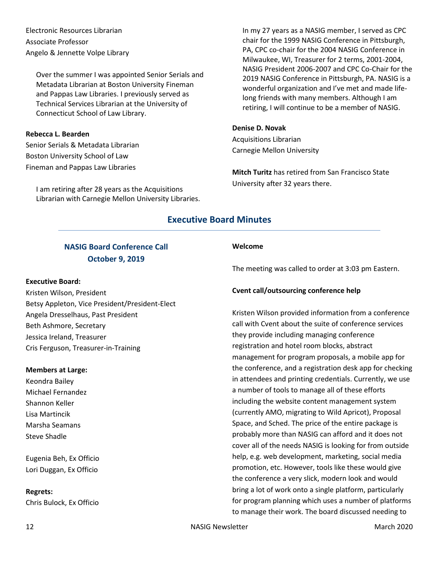Electronic Resources Librarian Associate Professor Angelo & Jennette Volpe Library

Over the summer I was appointed Senior Serials and Metadata Librarian at Boston University Fineman and Pappas Law Libraries. I previously served as Technical Services Librarian at the University of Connecticut School of Law Library.

## **Rebecca L. Bearden**

Senior Serials & Metadata Librarian Boston University School of Law Fineman and Pappas Law Libraries

I am retiring after 28 years as the Acquisitions Librarian with Carnegie Mellon University Libraries. In my 27 years as a NASIG member, I served as CPC chair for the 1999 NASIG Conference in Pittsburgh, PA, CPC co-chair for the 2004 NASIG Conference in Milwaukee, WI, Treasurer for 2 terms, 2001-2004, NASIG President 2006-2007 and CPC Co-Chair for the 2019 NASIG Conference in Pittsburgh, PA. NASIG is a wonderful organization and I've met and made lifelong friends with many members. Although I am retiring, I will continue to be a member of NASIG.

#### **Denise D. Novak**

Acquisitions Librarian Carnegie Mellon University

**Mitch Turitz** has retired from San Francisco State University after 32 years there.

# **Executive Board Minutes**

# **NASIG Board Conference Call October 9, 2019**

#### <span id="page-11-0"></span>**Executive Board:**

Kristen Wilson, President Betsy Appleton, Vice President/President-Elect Angela Dresselhaus, Past President Beth Ashmore, Secretary Jessica Ireland, Treasurer Cris Ferguson, Treasurer-in-Training

#### **Members at Large:**

Keondra Bailey Michael Fernandez Shannon Keller Lisa Martincik Marsha Seamans Steve Shadle

Eugenia Beh, Ex Officio Lori Duggan, Ex Officio

#### **Regrets:**

Chris Bulock, Ex Officio

#### **Welcome**

The meeting was called to order at 3:03 pm Eastern.

#### **Cvent call/outsourcing conference help**

Kristen Wilson provided information from a conference call with Cvent about the suite of conference services they provide including managing conference registration and hotel room blocks, abstract management for program proposals, a mobile app for the conference, and a registration desk app for checking in attendees and printing credentials. Currently, we use a number of tools to manage all of these efforts including the website content management system (currently AMO, migrating to Wild Apricot), Proposal Space, and Sched. The price of the entire package is probably more than NASIG can afford and it does not cover all of the needs NASIG is looking for from outside help, e.g. web development, marketing, social media promotion, etc. However, tools like these would give the conference a very slick, modern look and would bring a lot of work onto a single platform, particularly for program planning which uses a number of platforms to manage their work. The board discussed needing to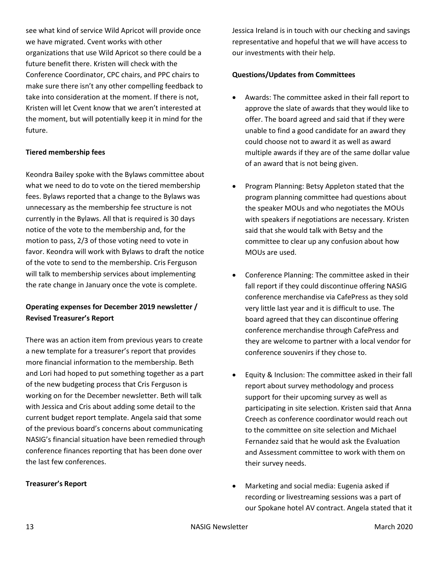see what kind of service Wild Apricot will provide once we have migrated. Cvent works with other organizations that use Wild Apricot so there could be a future benefit there. Kristen will check with the Conference Coordinator, CPC chairs, and PPC chairs to make sure there isn't any other compelling feedback to take into consideration at the moment. If there is not, Kristen will let Cvent know that we aren't interested at the moment, but will potentially keep it in mind for the future.

#### **Tiered membership fees**

Keondra Bailey spoke with the Bylaws committee about what we need to do to vote on the tiered membership fees. Bylaws reported that a change to the Bylaws was unnecessary as the membership fee structure is not currently in the Bylaws. All that is required is 30 days notice of the vote to the membership and, for the motion to pass, 2/3 of those voting need to vote in favor. Keondra will work with Bylaws to draft the notice of the vote to send to the membership. Cris Ferguson will talk to membership services about implementing the rate change in January once the vote is complete.

# **Operating expenses for December 2019 newsletter / Revised Treasurer's Report**

There was an action item from previous years to create a new template for a treasurer's report that provides more financial information to the membership. Beth and Lori had hoped to put something together as a part of the new budgeting process that Cris Ferguson is working on for the December newsletter. Beth will talk with Jessica and Cris about adding some detail to the current budget report template. Angela said that some of the previous board's concerns about communicating NASIG's financial situation have been remedied through conference finances reporting that has been done over the last few conferences.

# **Treasurer's Report**

Jessica Ireland is in touch with our checking and savings representative and hopeful that we will have access to our investments with their help.

## **Questions/Updates from Committees**

- Awards: The committee asked in their fall report to approve the slate of awards that they would like to offer. The board agreed and said that if they were unable to find a good candidate for an award they could choose not to award it as well as award multiple awards if they are of the same dollar value of an award that is not being given.
- Program Planning: Betsy Appleton stated that the program planning committee had questions about the speaker MOUs and who negotiates the MOUs with speakers if negotiations are necessary. Kristen said that she would talk with Betsy and the committee to clear up any confusion about how MOUs are used.
- Conference Planning: The committee asked in their fall report if they could discontinue offering NASIG conference merchandise via CafePress as they sold very little last year and it is difficult to use. The board agreed that they can discontinue offering conference merchandise through CafePress and they are welcome to partner with a local vendor for conference souvenirs if they chose to.
- Equity & Inclusion: The committee asked in their fall report about survey methodology and process support for their upcoming survey as well as participating in site selection. Kristen said that Anna Creech as conference coordinator would reach out to the committee on site selection and Michael Fernandez said that he would ask the Evaluation and Assessment committee to work with them on their survey needs.
- Marketing and social media: Eugenia asked if recording or livestreaming sessions was a part of our Spokane hotel AV contract. Angela stated that it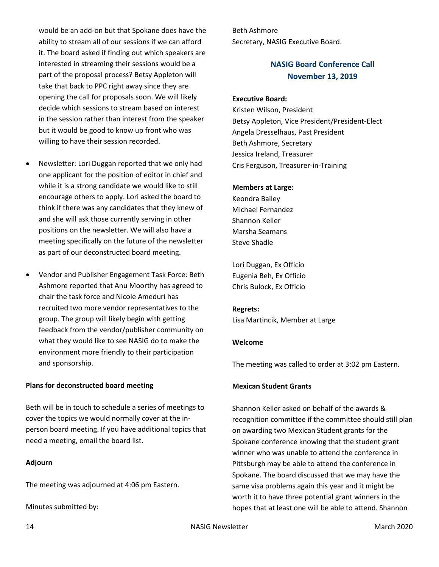would be an add-on but that Spokane does have the ability to stream all of our sessions if we can afford it. The board asked if finding out which speakers are interested in streaming their sessions would be a part of the proposal process? Betsy Appleton will take that back to PPC right away since they are opening the call for proposals soon. We will likely decide which sessions to stream based on interest in the session rather than interest from the speaker but it would be good to know up front who was willing to have their session recorded.

- Newsletter: Lori Duggan reported that we only had one applicant for the position of editor in chief and while it is a strong candidate we would like to still encourage others to apply. Lori asked the board to think if there was any candidates that they knew of and she will ask those currently serving in other positions on the newsletter. We will also have a meeting specifically on the future of the newsletter as part of our deconstructed board meeting.
- Vendor and Publisher Engagement Task Force: Beth Ashmore reported that Anu Moorthy has agreed to chair the task force and Nicole Ameduri has recruited two more vendor representatives to the group. The group will likely begin with getting feedback from the vendor/publisher community on what they would like to see NASIG do to make the environment more friendly to their participation and sponsorship.

#### **Plans for deconstructed board meeting**

Beth will be in touch to schedule a series of meetings to cover the topics we would normally cover at the inperson board meeting. If you have additional topics that need a meeting, email the board list.

#### **Adjourn**

The meeting was adjourned at 4:06 pm Eastern.

Minutes submitted by:

<span id="page-13-0"></span>Beth Ashmore Secretary, NASIG Executive Board.

# **NASIG Board Conference Call November 13, 2019**

## **Executive Board:**

Kristen Wilson, President Betsy Appleton, Vice President/President-Elect Angela Dresselhaus, Past President Beth Ashmore, Secretary Jessica Ireland, Treasurer Cris Ferguson, Treasurer-in-Training

#### **Members at Large:**

Keondra Bailey Michael Fernandez Shannon Keller Marsha Seamans Steve Shadle

Lori Duggan, Ex Officio Eugenia Beh, Ex Officio Chris Bulock, Ex Officio

**Regrets:** Lisa Martincik, Member at Large

#### **Welcome**

The meeting was called to order at 3:02 pm Eastern.

## **Mexican Student Grants**

Shannon Keller asked on behalf of the awards & recognition committee if the committee should still plan on awarding two Mexican Student grants for the Spokane conference knowing that the student grant winner who was unable to attend the conference in Pittsburgh may be able to attend the conference in Spokane. The board discussed that we may have the same visa problems again this year and it might be worth it to have three potential grant winners in the hopes that at least one will be able to attend. Shannon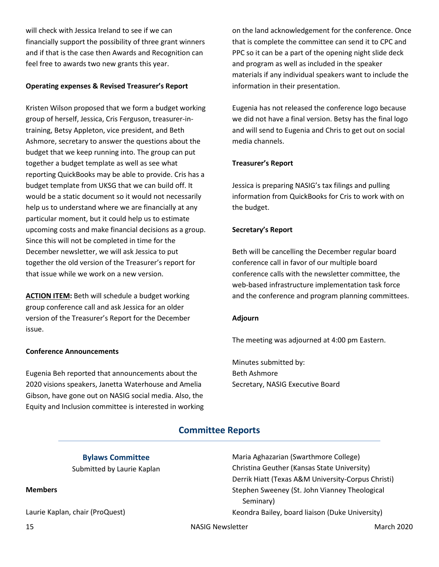will check with Jessica Ireland to see if we can financially support the possibility of three grant winners and if that is the case then Awards and Recognition can feel free to awards two new grants this year.

#### **Operating expenses & Revised Treasurer's Report**

Kristen Wilson proposed that we form a budget working group of herself, Jessica, Cris Ferguson, treasurer-intraining, Betsy Appleton, vice president, and Beth Ashmore, secretary to answer the questions about the budget that we keep running into. The group can put together a budget template as well as see what reporting QuickBooks may be able to provide. Cris has a budget template from UKSG that we can build off. It would be a static document so it would not necessarily help us to understand where we are financially at any particular moment, but it could help us to estimate upcoming costs and make financial decisions as a group. Since this will not be completed in time for the December newsletter, we will ask Jessica to put together the old version of the Treasurer's report for that issue while we work on a new version.

**ACTION ITEM:** Beth will schedule a budget working group conference call and ask Jessica for an older version of the Treasurer's Report for the December issue.

#### **Conference Announcements**

Eugenia Beh reported that announcements about the 2020 visions speakers, Janetta Waterhouse and Amelia Gibson, have gone out on NASIG social media. Also, the Equity and Inclusion committee is interested in working on the land acknowledgement for the conference. Once that is complete the committee can send it to CPC and PPC so it can be a part of the opening night slide deck and program as well as included in the speaker materials if any individual speakers want to include the information in their presentation.

Eugenia has not released the conference logo because we did not have a final version. Betsy has the final logo and will send to Eugenia and Chris to get out on social media channels.

#### **Treasurer's Report**

Jessica is preparing NASIG's tax filings and pulling information from QuickBooks for Cris to work with on the budget.

#### **Secretary's Report**

Beth will be cancelling the December regular board conference call in favor of our multiple board conference calls with the newsletter committee, the web-based infrastructure implementation task force and the conference and program planning committees.

#### **Adjourn**

The meeting was adjourned at 4:00 pm Eastern.

Minutes submitted by: Beth Ashmore Secretary, NASIG Executive Board

# **Committee Reports**

**Bylaws Committee** Submitted by Laurie Kaplan

#### <span id="page-14-0"></span>**Members**

Laurie Kaplan, chair (ProQuest)

Maria Aghazarian (Swarthmore College) Christina Geuther (Kansas State University) Derrik Hiatt (Texas A&M University-Corpus Christi) Stephen Sweeney (St. John Vianney Theological Seminary) Keondra Bailey, board liaison (Duke University)

15 NASIG Newsletter March 2020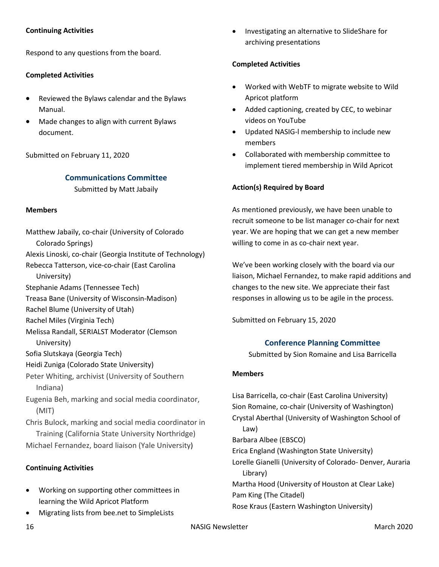## **Continuing Activities**

Respond to any questions from the board.

## **Completed Activities**

- Reviewed the Bylaws calendar and the Bylaws Manual.
- Made changes to align with current Bylaws document.

Submitted on February 11, 2020

## **Communications Committee**

Submitted by Matt Jabaily

#### **Members**

Matthew Jabaily, co-chair (University of Colorado Colorado Springs) Alexis Linoski, co-chair (Georgia Institute of Technology) Rebecca Tatterson, vice-co-chair (East Carolina University) Stephanie Adams (Tennessee Tech) Treasa Bane (University of Wisconsin-Madison) Rachel Blume (University of Utah) Rachel Miles (Virginia Tech) Melissa Randall, SERIALST Moderator (Clemson University) Sofia Slutskaya (Georgia Tech) Heidi Zuniga (Colorado State University) Peter Whiting, archivist (University of Southern Indiana) Eugenia Beh, marking and social media coordinator, (MIT) Chris Bulock, marking and social media coordinator in Training (California State University Northridge) Michael Fernandez, board liaison (Yale University)

# **Continuing Activities**

- Working on supporting other committees in learning the Wild Apricot Platform
- Migrating lists from bee.net to SimpleLists

• Investigating an alternative to SlideShare for archiving presentations

## **Completed Activities**

- Worked with WebTF to migrate website to Wild Apricot platform
- Added captioning, created by CEC, to webinar videos on YouTube
- Updated NASIG-l membership to include new members
- Collaborated with membership committee to implement tiered membership in Wild Apricot

## **Action(s) Required by Board**

As mentioned previously, we have been unable to recruit someone to be list manager co-chair for next year. We are hoping that we can get a new member willing to come in as co-chair next year.

We've been working closely with the board via our liaison, Michael Fernandez, to make rapid additions and changes to the new site. We appreciate their fast responses in allowing us to be agile in the process.

Submitted on February 15, 2020

# **Conference Planning Committee**

Submitted by Sion Romaine and Lisa Barricella

#### **Members**

Lisa Barricella, co-chair (East Carolina University) Sion Romaine, co-chair (University of Washington) Crystal Aberthal (University of Washington School of Law) Barbara Albee (EBSCO) Erica England (Washington State University) Lorelle Gianelli (University of Colorado- Denver, Auraria Library) Martha Hood (University of Houston at Clear Lake) Pam King (The Citadel) Rose Kraus (Eastern Washington University)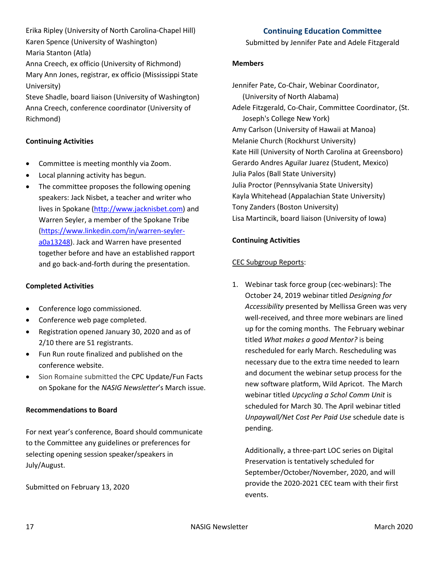Erika Ripley (University of North Carolina-Chapel Hill) Karen Spence (University of Washington) Maria Stanton (Atla)

Anna Creech, ex officio (University of Richmond) Mary Ann Jones, registrar, ex officio (Mississippi State University)

Steve Shadle, board liaison (University of Washington) Anna Creech, conference coordinator (University of Richmond)

# **Continuing Activities**

- Committee is meeting monthly via Zoom.
- Local planning activity has begun.
- The committee proposes the following opening speakers: Jack Nisbet, a teacher and writer who lives in Spokane [\(http://www.jacknisbet.com\)](http://www.jacknisbet.com/) and Warren Seyler, a member of the Spokane Tribe [\(https://www.linkedin.com/in/warren-seyler](https://www.linkedin.com/in/warren-seyler-a0a13248)[a0a13248\)](https://www.linkedin.com/in/warren-seyler-a0a13248). Jack and Warren have presented together before and have an established rapport and go back-and-forth during the presentation.

## **Completed Activities**

- Conference logo commissioned.
- Conference web page completed.
- Registration opened January 30, 2020 and as of 2/10 there are 51 registrants.
- Fun Run route finalized and published on the conference website.
- Sion Romaine submitted the CPC Update/Fun Facts on Spokane for the *NASIG Newsletter*'s March issue.

#### **Recommendations to Board**

For next year's conference, Board should communicate to the Committee any guidelines or preferences for selecting opening session speaker/speakers in July/August.

Submitted on February 13, 2020

# **Continuing Education Committee**

Submitted by Jennifer Pate and Adele Fitzgerald

## **Members**

Jennifer Pate, Co-Chair, Webinar Coordinator, (University of North Alabama) Adele Fitzgerald, Co-Chair, Committee Coordinator, (St. Joseph's College New York) Amy Carlson (University of Hawaii at Manoa) Melanie Church (Rockhurst University) Kate Hill (University of North Carolina at Greensboro) Gerardo Andres Aguilar Juarez (Student, Mexico) Julia Palos (Ball State University) Julia Proctor (Pennsylvania State University) Kayla Whitehead (Appalachian State University) Tony Zanders (Boston University) Lisa Martincik, board liaison (University of Iowa)

# **Continuing Activities**

# CEC Subgroup Reports:

1. Webinar task force group (cec-webinars): The October 24, 2019 webinar titled *Designing for Accessibility* presented by Mellissa Green was very well-received, and three more webinars are lined up for the coming months. The February webinar titled *What makes a good Mentor?* is being rescheduled for early March. Rescheduling was necessary due to the extra time needed to learn and document the webinar setup process for the new software platform, Wild Apricot. The March webinar titled *Upcycling a Schol Comm Unit* is scheduled for March 30. The April webinar titled *Unpaywall/Net Cost Per Paid Use* schedule date is pending.

Additionally, a three-part LOC series on Digital Preservation is tentatively scheduled for September/October/November, 2020, and will provide the 2020-2021 CEC team with their first events.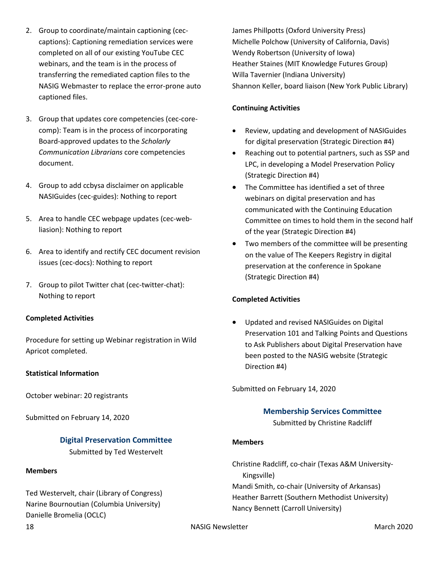- 2. Group to coordinate/maintain captioning (ceccaptions): Captioning remediation services were completed on all of our existing YouTube CEC webinars, and the team is in the process of transferring the remediated caption files to the NASIG Webmaster to replace the error-prone auto captioned files.
- 3. Group that updates core competencies (cec-corecomp): Team is in the process of incorporating Board-approved updates to the *Scholarly Communication Librarians* core competencies document.
- 4. Group to add ccbysa disclaimer on applicable NASIGuides (cec-guides): Nothing to report
- 5. Area to handle CEC webpage updates (cec-webliasion): Nothing to report
- 6. Area to identify and rectify CEC document revision issues (cec-docs): Nothing to report
- 7. Group to pilot Twitter chat (cec-twitter-chat): Nothing to report

# **Completed Activities**

Procedure for setting up Webinar registration in Wild Apricot completed.

#### **Statistical Information**

October webinar: 20 registrants

Submitted on February 14, 2020

# **Digital Preservation Committee**

Submitted by Ted Westervelt

#### **Members**

Ted Westervelt, chair (Library of Congress) Narine Bournoutian (Columbia University) Danielle Bromelia (OCLC)

James Phillpotts (Oxford University Press) Michelle Polchow (University of California, Davis) Wendy Robertson (University of Iowa) Heather Staines (MIT Knowledge Futures Group) Willa Tavernier (Indiana University) Shannon Keller, board liaison (New York Public Library)

## **Continuing Activities**

- Review, updating and development of NASIGuides for digital preservation (Strategic Direction #4)
- Reaching out to potential partners, such as SSP and LPC, in developing a Model Preservation Policy (Strategic Direction #4)
- The Committee has identified a set of three webinars on digital preservation and has communicated with the Continuing Education Committee on times to hold them in the second half of the year (Strategic Direction #4)
- Two members of the committee will be presenting on the value of The Keepers Registry in digital preservation at the conference in Spokane (Strategic Direction #4)

# **Completed Activities**

• Updated and revised NASIGuides on Digital Preservation 101 and Talking Points and Questions to Ask Publishers about Digital Preservation have been posted to the NASIG website (Strategic Direction #4)

Submitted on February 14, 2020

# **Membership Services Committee**

Submitted by Christine Radcliff

## **Members**

Christine Radcliff, co-chair (Texas A&M University-Kingsville) Mandi Smith, co-chair (University of Arkansas) Heather Barrett (Southern Methodist University) Nancy Bennett (Carroll University)

18 NASIG Newsletter March 2020 NASIG Newsletter March 2020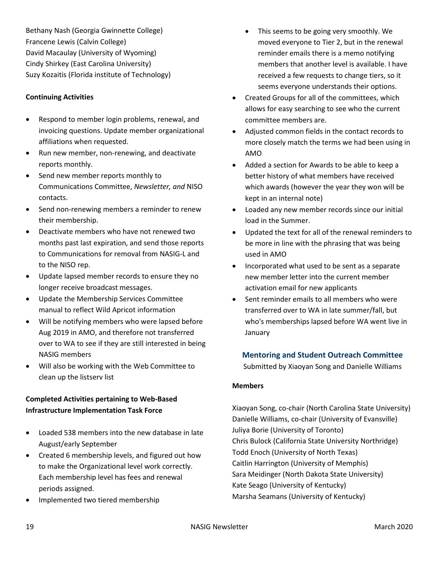Bethany Nash (Georgia Gwinnette College) Francene Lewis (Calvin College) David Macaulay (University of Wyoming) Cindy Shirkey (East Carolina University) Suzy Kozaitis (Florida institute of Technology)

# **Continuing Activities**

- Respond to member login problems, renewal, and invoicing questions. Update member organizational affiliations when requested.
- Run new member, non-renewing, and deactivate reports monthly.
- Send new member reports monthly to Communications Committee, *Newsletter, and* NISO contacts.
- Send non-renewing members a reminder to renew their membership.
- Deactivate members who have not renewed two months past last expiration, and send those reports to Communications for removal from NASIG-L and to the NISO rep.
- Update lapsed member records to ensure they no longer receive broadcast messages.
- Update the Membership Services Committee manual to reflect Wild Apricot information
- Will be notifying members who were lapsed before Aug 2019 in AMO, and therefore not transferred over to WA to see if they are still interested in being NASIG members
- Will also be working with the Web Committee to clean up the listserv list

# **Completed Activities pertaining to Web-Based Infrastructure Implementation Task Force**

- Loaded 538 members into the new database in late August/early September
- Created 6 membership levels, and figured out how to make the Organizational level work correctly. Each membership level has fees and renewal periods assigned.
- Implemented two tiered membership
- This seems to be going very smoothly. We moved everyone to Tier 2, but in the renewal reminder emails there is a memo notifying members that another level is available. I have received a few requests to change tiers, so it seems everyone understands their options.
- Created Groups for all of the committees, which allows for easy searching to see who the current committee members are.
- Adjusted common fields in the contact records to more closely match the terms we had been using in AMO
- Added a section for Awards to be able to keep a better history of what members have received which awards (however the year they won will be kept in an internal note)
- Loaded any new member records since our initial load in the Summer.
- Updated the text for all of the renewal reminders to be more in line with the phrasing that was being used in AMO
- Incorporated what used to be sent as a separate new member letter into the current member activation email for new applicants
- Sent reminder emails to all members who were transferred over to WA in late summer/fall, but who's memberships lapsed before WA went live in January

# **Mentoring and Student Outreach Committee**

Submitted by Xiaoyan Song and Danielle Williams

# **Members**

Xiaoyan Song, co-chair (North Carolina State University) Danielle Williams, co-chair (University of Evansville) Juliya Borie (University of Toronto) Chris Bulock (California State University Northridge) Todd Enoch (University of North Texas) Caitlin Harrington (University of Memphis) Sara Meidinger (North Dakota State University) Kate Seago (University of Kentucky) Marsha Seamans (University of Kentucky)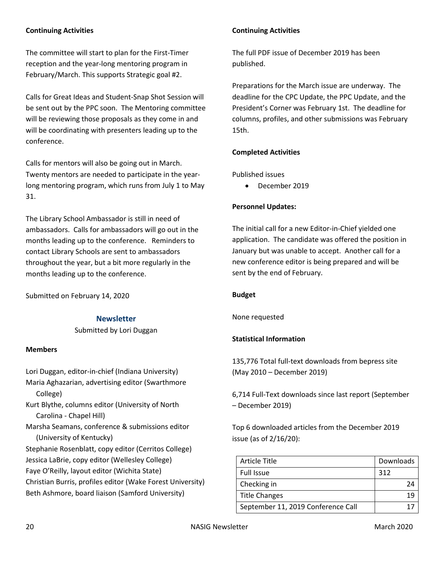## **Continuing Activities**

The committee will start to plan for the First-Timer reception and the year-long mentoring program in February/March. This supports Strategic goal #2.

Calls for Great Ideas and Student-Snap Shot Session will be sent out by the PPC soon. The Mentoring committee will be reviewing those proposals as they come in and will be coordinating with presenters leading up to the conference.

Calls for mentors will also be going out in March. Twenty mentors are needed to participate in the yearlong mentoring program, which runs from July 1 to May 31.

The Library School Ambassador is still in need of ambassadors. Calls for ambassadors will go out in the months leading up to the conference. Reminders to contact Library Schools are sent to ambassadors throughout the year, but a bit more regularly in the months leading up to the conference.

Submitted on February 14, 2020

**Newsletter**

Submitted by Lori Duggan

#### **Members**

Lori Duggan, editor-in-chief (Indiana University) Maria Aghazarian, advertising editor (Swarthmore College) Kurt Blythe, columns editor (University of North Carolina - Chapel Hill) Marsha Seamans, conference & submissions editor (University of Kentucky) Stephanie Rosenblatt, copy editor (Cerritos College) Jessica LaBrie, copy editor (Wellesley College) Faye O'Reilly, layout editor (Wichita State) Christian Burris, profiles editor (Wake Forest University) Beth Ashmore, board liaison (Samford University)

## **Continuing Activities**

The full PDF issue of December 2019 has been published.

Preparations for the March issue are underway. The deadline for the CPC Update, the PPC Update, and the President's Corner was February 1st. The deadline for columns, profiles, and other submissions was February 15th.

## **Completed Activities**

Published issues

• December 2019

#### **Personnel Updates:**

The initial call for a new Editor-in-Chief yielded one application. The candidate was offered the position in January but was unable to accept. Another call for a new conference editor is being prepared and will be sent by the end of February.

#### **Budget**

None requested

#### **Statistical Information**

135,776 Total full-text downloads from bepress site (May 2010 – December 2019)

6,714 Full-Text downloads since last report (September – December 2019)

Top 6 downloaded articles from the December 2019 issue (as of 2/16/20):

| <b>Article Title</b>               | Downloads |
|------------------------------------|-----------|
| <b>Full Issue</b>                  | 312       |
| Checking in                        |           |
| <b>Title Changes</b>               |           |
| September 11, 2019 Conference Call |           |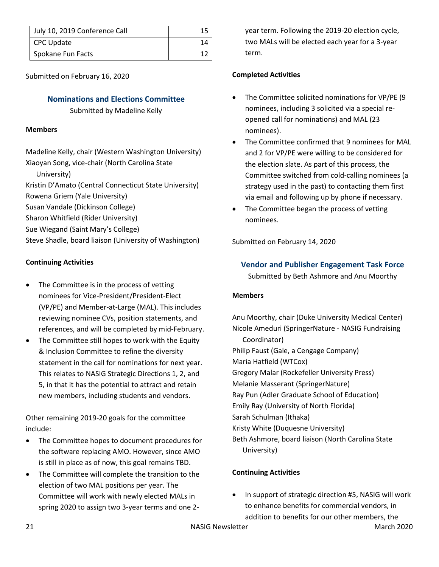| July 10, 2019 Conference Call |  |
|-------------------------------|--|
| CPC Update                    |  |
| Spokane Fun Facts             |  |

Submitted on February 16, 2020

# **Nominations and Elections Committee**

Submitted by Madeline Kelly

## **Members**

Madeline Kelly, chair (Western Washington University) Xiaoyan Song, vice-chair (North Carolina State

University)

Kristin D'Amato (Central Connecticut State University)

Rowena Griem (Yale University)

Susan Vandale (Dickinson College)

Sharon Whitfield (Rider University)

Sue Wiegand (Saint Mary's College)

Steve Shadle, board liaison (University of Washington)

# **Continuing Activities**

- The Committee is in the process of vetting nominees for Vice-President/President-Elect (VP/PE) and Member-at-Large (MAL). This includes reviewing nominee CVs, position statements, and references, and will be completed by mid-February.
- The Committee still hopes to work with the Equity & Inclusion Committee to refine the diversity statement in the call for nominations for next year. This relates to NASIG Strategic Directions 1, 2, and 5, in that it has the potential to attract and retain new members, including students and vendors.

Other remaining 2019-20 goals for the committee include:

- The Committee hopes to document procedures for the software replacing AMO. However, since AMO is still in place as of now, this goal remains TBD.
- The Committee will complete the transition to the election of two MAL positions per year. The Committee will work with newly elected MALs in spring 2020 to assign two 3-year terms and one 2-

year term. Following the 2019-20 election cycle, two MALs will be elected each year for a 3-year term.

# **Completed Activities**

- The Committee solicited nominations for VP/PE (9 nominees, including 3 solicited via a special reopened call for nominations) and MAL (23 nominees).
- The Committee confirmed that 9 nominees for MAL and 2 for VP/PE were willing to be considered for the election slate. As part of this process, the Committee switched from cold-calling nominees (a strategy used in the past) to contacting them first via email and following up by phone if necessary.
- The Committee began the process of vetting nominees.

Submitted on February 14, 2020

# **Vendor and Publisher Engagement Task Force**

Submitted by Beth Ashmore and Anu Moorthy

# **Members**

Anu Moorthy, chair (Duke University Medical Center) Nicole Ameduri (SpringerNature - NASIG Fundraising Coordinator) Philip Faust (Gale, a Cengage Company) Maria Hatfield (WTCox) Gregory Malar (Rockefeller University Press) Melanie Masserant (SpringerNature) Ray Pun (Adler Graduate School of Education) Emily Ray (University of North Florida) Sarah Schulman (Ithaka) Kristy White (Duquesne University) Beth Ashmore, board liaison (North Carolina State University)

# **Continuing Activities**

• In support of strategic direction #5, NASIG will work to enhance benefits for commercial vendors, in addition to benefits for our other members, the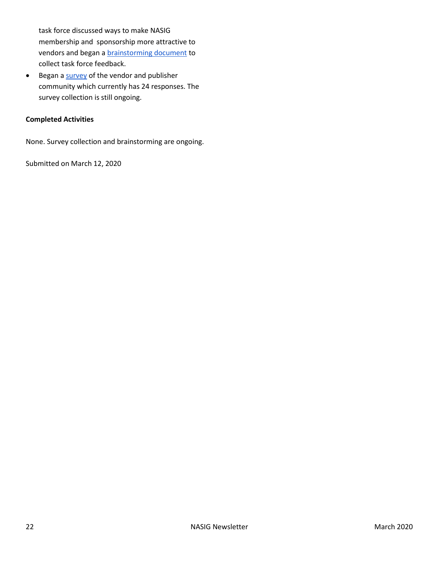task force discussed ways to make NASIG membership and sponsorship more attractive to vendors and began a **brainstorming** document to collect task force feedback.

• Began a [survey](https://forms.gle/fbBrZ8KSyuKAUvgs8) of the vendor and publisher community which currently has 24 responses. The survey collection is still ongoing.

## **Completed Activities**

None. Survey collection and brainstorming are ongoing.

Submitted on March 12, 2020